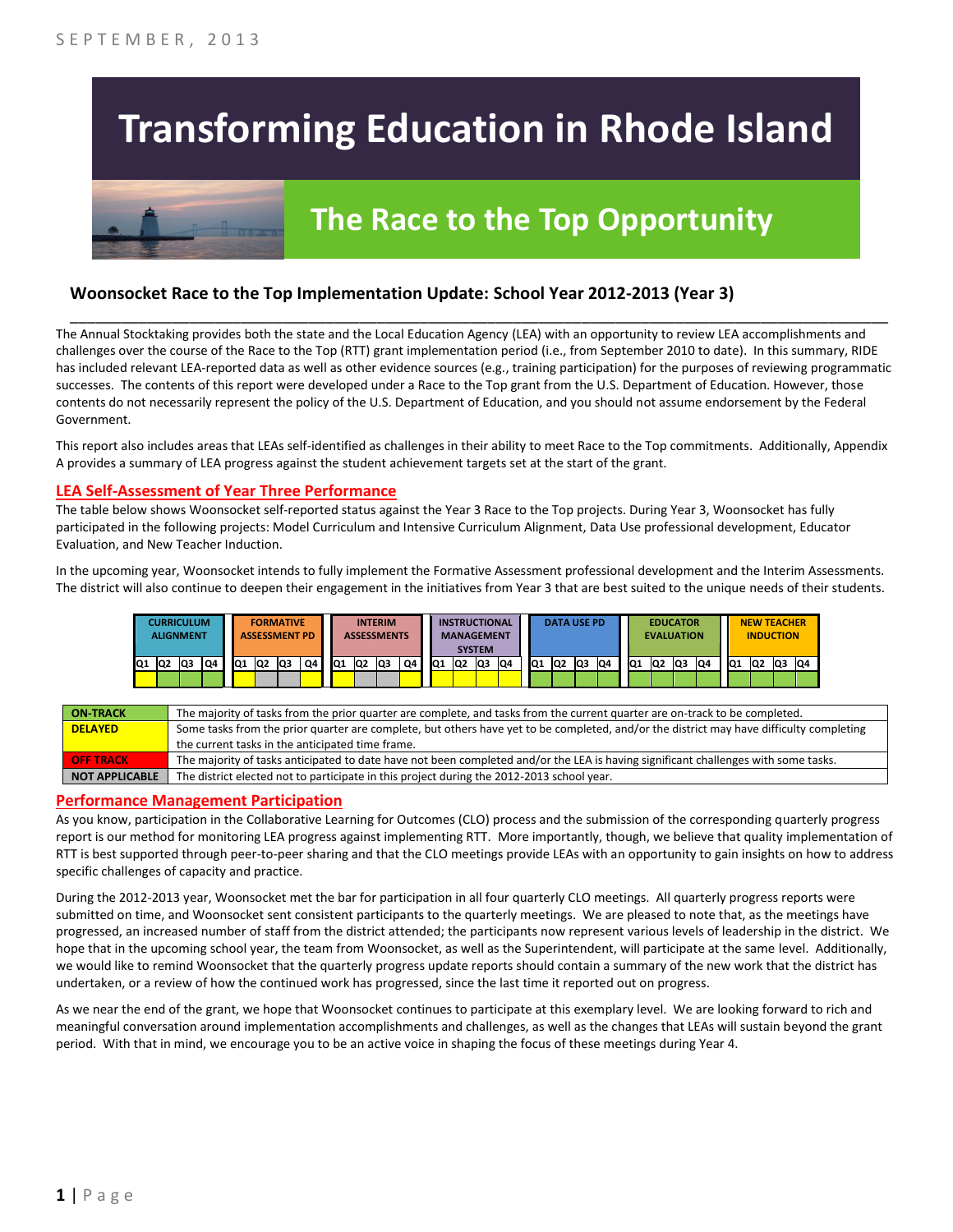# **Transforming Education in Rhode Island**

# **The Race to the Top Opportunity**

### **Woonsocket Race to the Top Implementation Update: School Year 2012-2013 (Year 3)**

The Annual Stocktaking provides both the state and the Local Education Agency (LEA) with an opportunity to review LEA accomplishments and challenges over the course of the Race to the Top (RTT) grant implementation period (i.e., from September 2010 to date). In this summary, RIDE has included relevant LEA-reported data as well as other evidence sources (e.g., training participation) for the purposes of reviewing programmatic successes. The contents of this report were developed under a Race to the Top grant from the U.S. Department of Education. However, those contents do not necessarily represent the policy of the U.S. Department of Education, and you should not assume endorsement by the Federal Government.

\_\_\_\_\_\_\_\_\_\_\_\_\_\_\_\_\_\_\_\_\_\_\_\_\_\_\_\_\_\_\_\_\_\_\_\_\_\_\_\_\_\_\_\_\_\_\_\_\_\_\_\_\_\_\_\_\_\_\_\_\_\_\_\_\_\_\_\_\_\_\_\_\_\_\_\_\_\_\_\_\_\_\_\_\_\_\_\_\_\_\_\_\_\_\_\_

This report also includes areas that LEAs self-identified as challenges in their ability to meet Race to the Top commitments. Additionally, Appendix A provides a summary of LEA progress against the student achievement targets set at the start of the grant.

#### **LEA Self-Assessment of Year Three Performance**

The table below shows Woonsocket self-reported status against the Year 3 Race to the Top projects. During Year 3, Woonsocket has fully participated in the following projects: Model Curriculum and Intensive Curriculum Alignment, Data Use professional development, Educator Evaluation, and New Teacher Induction.

In the upcoming year, Woonsocket intends to fully implement the Formative Assessment professional development and the Interim Assessments. The district will also continue to deepen their engagement in the initiatives from Year 3 that are best suited to the unique needs of their students.



| <b>ON-TRACK</b>       | The majority of tasks from the prior quarter are complete, and tasks from the current quarter are on-track to be completed.             |
|-----------------------|-----------------------------------------------------------------------------------------------------------------------------------------|
| <b>DELAYED</b>        | Some tasks from the prior quarter are complete, but others have yet to be completed, and/or the district may have difficulty completing |
|                       | the current tasks in the anticipated time frame.                                                                                        |
| <b>OFF TRACK</b>      | The majority of tasks anticipated to date have not been completed and/or the LEA is having significant challenges with some tasks.      |
| <b>NOT APPLICABLE</b> | The district elected not to participate in this project during the 2012-2013 school year.                                               |

#### **Performance Management Participation**

As you know, participation in the Collaborative Learning for Outcomes (CLO) process and the submission of the corresponding quarterly progress report is our method for monitoring LEA progress against implementing RTT. More importantly, though, we believe that quality implementation of RTT is best supported through peer-to-peer sharing and that the CLO meetings provide LEAs with an opportunity to gain insights on how to address specific challenges of capacity and practice.

During the 2012-2013 year, Woonsocket met the bar for participation in all four quarterly CLO meetings. All quarterly progress reports were submitted on time, and Woonsocket sent consistent participants to the quarterly meetings. We are pleased to note that, as the meetings have progressed, an increased number of staff from the district attended; the participants now represent various levels of leadership in the district. We hope that in the upcoming school year, the team from Woonsocket, as well as the Superintendent, will participate at the same level. Additionally, we would like to remind Woonsocket that the quarterly progress update reports should contain a summary of the new work that the district has undertaken, or a review of how the continued work has progressed, since the last time it reported out on progress.

As we near the end of the grant, we hope that Woonsocket continues to participate at this exemplary level. We are looking forward to rich and meaningful conversation around implementation accomplishments and challenges, as well as the changes that LEAs will sustain beyond the grant period. With that in mind, we encourage you to be an active voice in shaping the focus of these meetings during Year 4.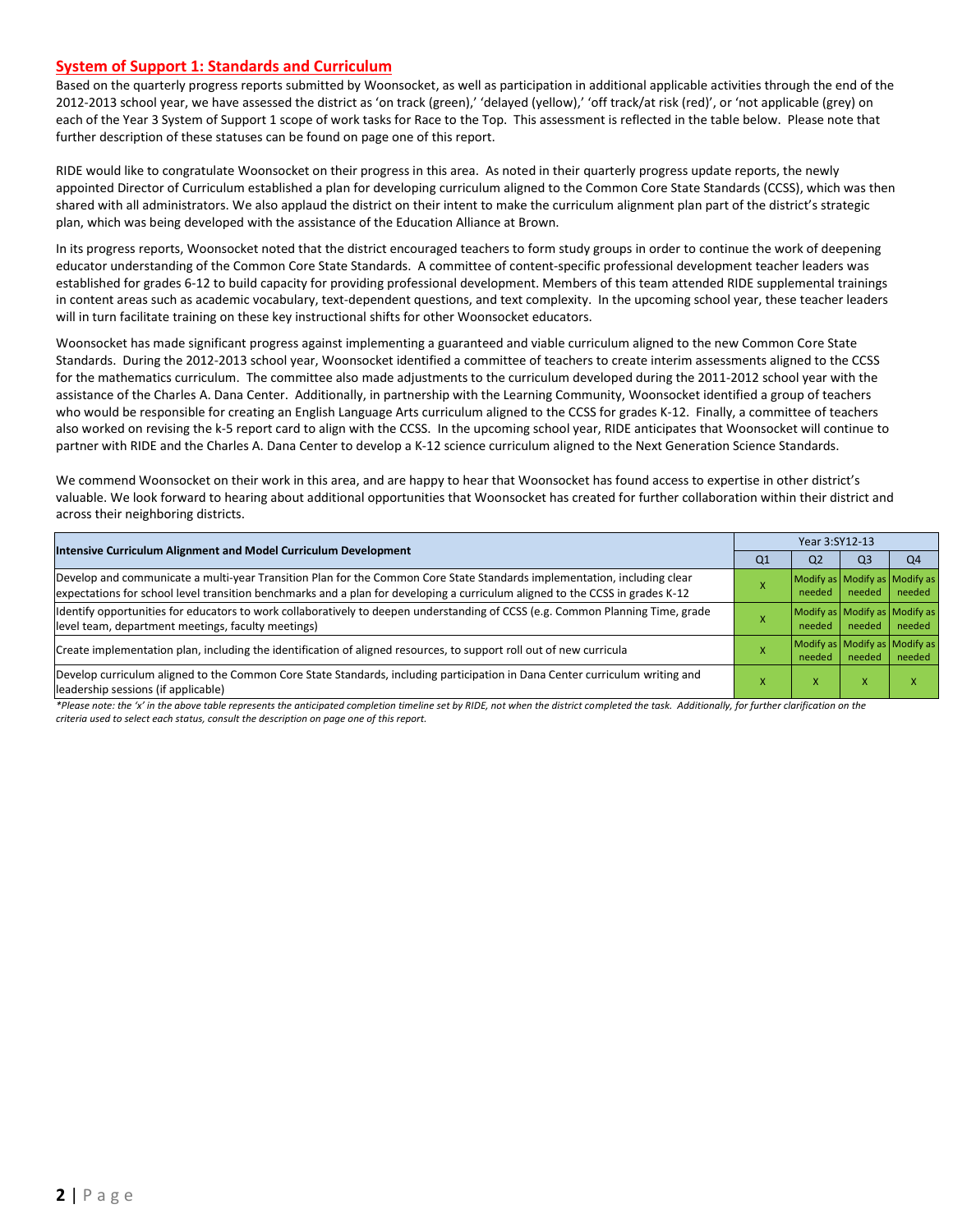#### **System of Support 1: Standards and Curriculum**

Based on the quarterly progress reports submitted by Woonsocket, as well as participation in additional applicable activities through the end of the 2012-2013 school year, we have assessed the district as 'on track (green),' 'delayed (yellow),' 'off track/at risk (red)', or 'not applicable (grey) on each of the Year 3 System of Support 1 scope of work tasks for Race to the Top. This assessment is reflected in the table below. Please note that further description of these statuses can be found on page one of this report.

RIDE would like to congratulate Woonsocket on their progress in this area. As noted in their quarterly progress update reports, the newly appointed Director of Curriculum established a plan for developing curriculum aligned to the Common Core State Standards (CCSS), which was then shared with all administrators. We also applaud the district on their intent to make the curriculum alignment plan part of the district's strategic plan, which was being developed with the assistance of the Education Alliance at Brown.

In its progress reports, Woonsocket noted that the district encouraged teachers to form study groups in order to continue the work of deepening educator understanding of the Common Core State Standards. A committee of content-specific professional development teacher leaders was established for grades 6-12 to build capacity for providing professional development. Members of this team attended RIDE supplemental trainings in content areas such as academic vocabulary, text-dependent questions, and text complexity. In the upcoming school year, these teacher leaders will in turn facilitate training on these key instructional shifts for other Woonsocket educators.

Woonsocket has made significant progress against implementing a guaranteed and viable curriculum aligned to the new Common Core State Standards. During the 2012-2013 school year, Woonsocket identified a committee of teachers to create interim assessments aligned to the CCSS for the mathematics curriculum. The committee also made adjustments to the curriculum developed during the 2011-2012 school year with the assistance of the Charles A. Dana Center. Additionally, in partnership with the Learning Community, Woonsocket identified a group of teachers who would be responsible for creating an English Language Arts curriculum aligned to the CCSS for grades K-12. Finally, a committee of teachers also worked on revising the k-5 report card to align with the CCSS. In the upcoming school year, RIDE anticipates that Woonsocket will continue to partner with RIDE and the Charles A. Dana Center to develop a K-12 science curriculum aligned to the Next Generation Science Standards.

We commend Woonsocket on their work in this area, and are happy to hear that Woonsocket has found access to expertise in other district's valuable. We look forward to hearing about additional opportunities that Woonsocket has created for further collaboration within their district and across their neighboring districts.

|                                                                                                                                                                                                                                                           |    | Year 3:SY12-13 |                |                                         |  |  |  |
|-----------------------------------------------------------------------------------------------------------------------------------------------------------------------------------------------------------------------------------------------------------|----|----------------|----------------|-----------------------------------------|--|--|--|
| Intensive Curriculum Alignment and Model Curriculum Development                                                                                                                                                                                           | Q1 | Q <sub>2</sub> | Q <sub>3</sub> | Q <sub>4</sub>                          |  |  |  |
| Develop and communicate a multi-year Transition Plan for the Common Core State Standards implementation, including clear<br>expectations for school level transition benchmarks and a plan for developing a curriculum aligned to the CCSS in grades K-12 |    | need           | needed         | Modify as Modify as Modify as<br>needed |  |  |  |
| ldentify opportunities for educators to work collaboratively to deepen understanding of CCSS (e.g. Common Planning Time, grade<br>level team, department meetings, faculty meetings)                                                                      |    | needed         | needed         | Modify as Modify as Modify as<br>needed |  |  |  |
| Create implementation plan, including the identification of aligned resources, to support roll out of new curricula                                                                                                                                       |    | needed         | needed         | Modify as Modify as Modify as<br>needed |  |  |  |
| Develop curriculum aligned to the Common Core State Standards, including participation in Dana Center curriculum writing and<br>leadership sessions (if applicable)                                                                                       |    | л              |                |                                         |  |  |  |

*\*Please note: the 'x' in the above table represents the anticipated completion timeline set by RIDE, not when the district completed the task. Additionally, for further clarification on the criteria used to select each status, consult the description on page one of this report.*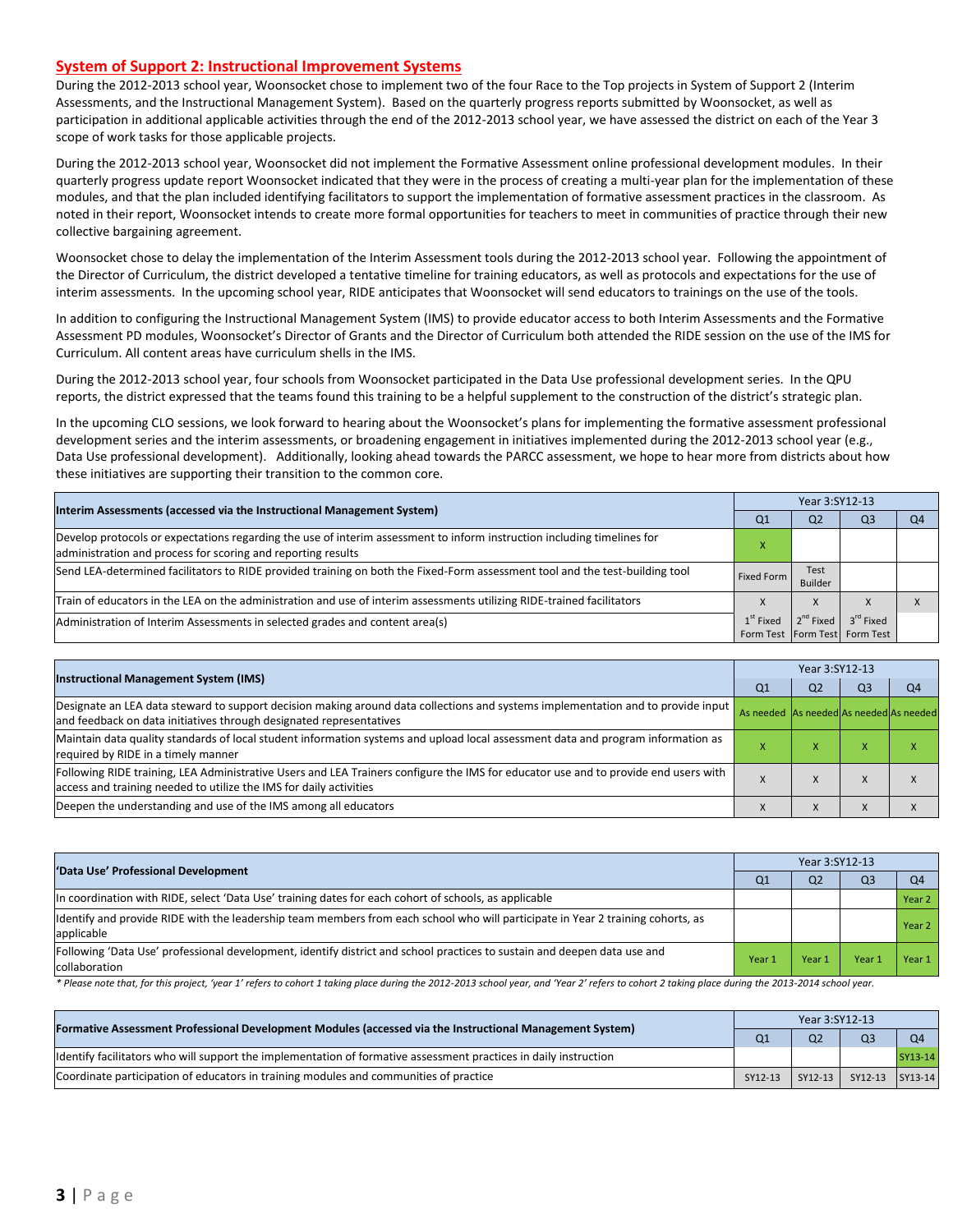#### **System of Support 2: Instructional Improvement Systems**

During the 2012-2013 school year, Woonsocket chose to implement two of the four Race to the Top projects in System of Support 2 (Interim Assessments, and the Instructional Management System). Based on the quarterly progress reports submitted by Woonsocket, as well as participation in additional applicable activities through the end of the 2012-2013 school year, we have assessed the district on each of the Year 3 scope of work tasks for those applicable projects.

During the 2012-2013 school year, Woonsocket did not implement the Formative Assessment online professional development modules. In their quarterly progress update report Woonsocket indicated that they were in the process of creating a multi-year plan for the implementation of these modules, and that the plan included identifying facilitators to support the implementation of formative assessment practices in the classroom. As noted in their report, Woonsocket intends to create more formal opportunities for teachers to meet in communities of practice through their new collective bargaining agreement.

Woonsocket chose to delay the implementation of the Interim Assessment tools during the 2012-2013 school year. Following the appointment of the Director of Curriculum, the district developed a tentative timeline for training educators, as well as protocols and expectations for the use of interim assessments. In the upcoming school year, RIDE anticipates that Woonsocket will send educators to trainings on the use of the tools.

In addition to configuring the Instructional Management System (IMS) to provide educator access to both Interim Assessments and the Formative Assessment PD modules, Woonsocket's Director of Grants and the Director of Curriculum both attended the RIDE session on the use of the IMS for Curriculum. All content areas have curriculum shells in the IMS.

During the 2012-2013 school year, four schools from Woonsocket participated in the Data Use professional development series. In the QPU reports, the district expressed that the teams found this training to be a helpful supplement to the construction of the district's strategic plan.

In the upcoming CLO sessions, we look forward to hearing about the Woonsocket's plans for implementing the formative assessment professional development series and the interim assessments, or broadening engagement in initiatives implemented during the 2012-2013 school year (e.g., Data Use professional development). Additionally, looking ahead towards the PARCC assessment, we hope to hear more from districts about how these initiatives are supporting their transition to the common core.

| Interim Assessments (accessed via the Instructional Management System)                                                                                                                  |             | Year 3:SY12-13  |                               |    |  |  |  |
|-----------------------------------------------------------------------------------------------------------------------------------------------------------------------------------------|-------------|-----------------|-------------------------------|----|--|--|--|
|                                                                                                                                                                                         | Q1          | Q <sub>2</sub>  | Q3                            | Q4 |  |  |  |
| Develop protocols or expectations regarding the use of interim assessment to inform instruction including timelines for<br>administration and process for scoring and reporting results |             |                 |                               |    |  |  |  |
| Send LEA-determined facilitators to RIDE provided training on both the Fixed-Form assessment tool and the test-building tool                                                            | Fixed Form  | Test<br>Builder |                               |    |  |  |  |
| Train of educators in the LEA on the administration and use of interim assessments utilizing RIDE-trained facilitators                                                                  |             | X               |                               |    |  |  |  |
| Administration of Interim Assessments in selected grades and content area(s)                                                                                                            | $1st$ Fixed | $2^{nd}$ Fixed  | $3^{\text{rd}}$ Fixed         |    |  |  |  |
|                                                                                                                                                                                         |             |                 | Form Test Form Test Form Test |    |  |  |  |

| <b>Instructional Management System (IMS)</b>                                                                                                                                                              |                                         | Year 3:SY12-13 |                |                |  |  |  |
|-----------------------------------------------------------------------------------------------------------------------------------------------------------------------------------------------------------|-----------------------------------------|----------------|----------------|----------------|--|--|--|
|                                                                                                                                                                                                           | Q <sub>1</sub>                          | Q <sub>2</sub> | Q <sub>3</sub> | Q <sub>4</sub> |  |  |  |
| Designate an LEA data steward to support decision making around data collections and systems implementation and to provide input<br>and feedback on data initiatives through designated representatives   | As needed As needed As needed As needed |                |                |                |  |  |  |
| Maintain data quality standards of local student information systems and upload local assessment data and program information as<br>required by RIDE in a timely manner                                   |                                         | $\lambda$      |                |                |  |  |  |
| Following RIDE training, LEA Administrative Users and LEA Trainers configure the IMS for educator use and to provide end users with<br>access and training needed to utilize the IMS for daily activities |                                         | л              |                |                |  |  |  |
| Deepen the understanding and use of the IMS among all educators                                                                                                                                           |                                         | X              | $\Lambda$      |                |  |  |  |

| 'Data Use' Professional Development                                                                                                           |        | Year 3:SY12-13 |                |                |  |  |  |
|-----------------------------------------------------------------------------------------------------------------------------------------------|--------|----------------|----------------|----------------|--|--|--|
|                                                                                                                                               |        | Q <sub>2</sub> | Q <sub>3</sub> | O <sub>4</sub> |  |  |  |
| In coordination with RIDE, select 'Data Use' training dates for each cohort of schools, as applicable                                         |        |                |                | Year 2         |  |  |  |
| ldentify and provide RIDE with the leadership team members from each school who will participate in Year 2 training cohorts, as<br>applicable |        |                |                | Year 2         |  |  |  |
| [Following 'Data Use' professional development, identify district and school practices to sustain and deepen data use and<br>collaboration    | Year 1 | Year 1         | Year           | Year 1         |  |  |  |

\* Please note that, for this project, 'year 1' refers to cohort 1 taking place during the 2012-2013 school year, and 'Year 2' refers to cohort 2 taking place during the 2013-2014 school year.

| [Formative Assessment Professional Development Modules (accessed via the Instructional Management System)        |         | Year 3:SY12-13 |                 |                |  |  |
|------------------------------------------------------------------------------------------------------------------|---------|----------------|-----------------|----------------|--|--|
|                                                                                                                  |         |                | Q <sub>3</sub>  | Q <sub>4</sub> |  |  |
| ldentify facilitators who will support the implementation of formative assessment practices in daily instruction |         |                |                 | SY13-14        |  |  |
| Coordinate participation of educators in training modules and communities of practice                            | SY12-13 | SY12-13        | SY12-13 SY13-14 |                |  |  |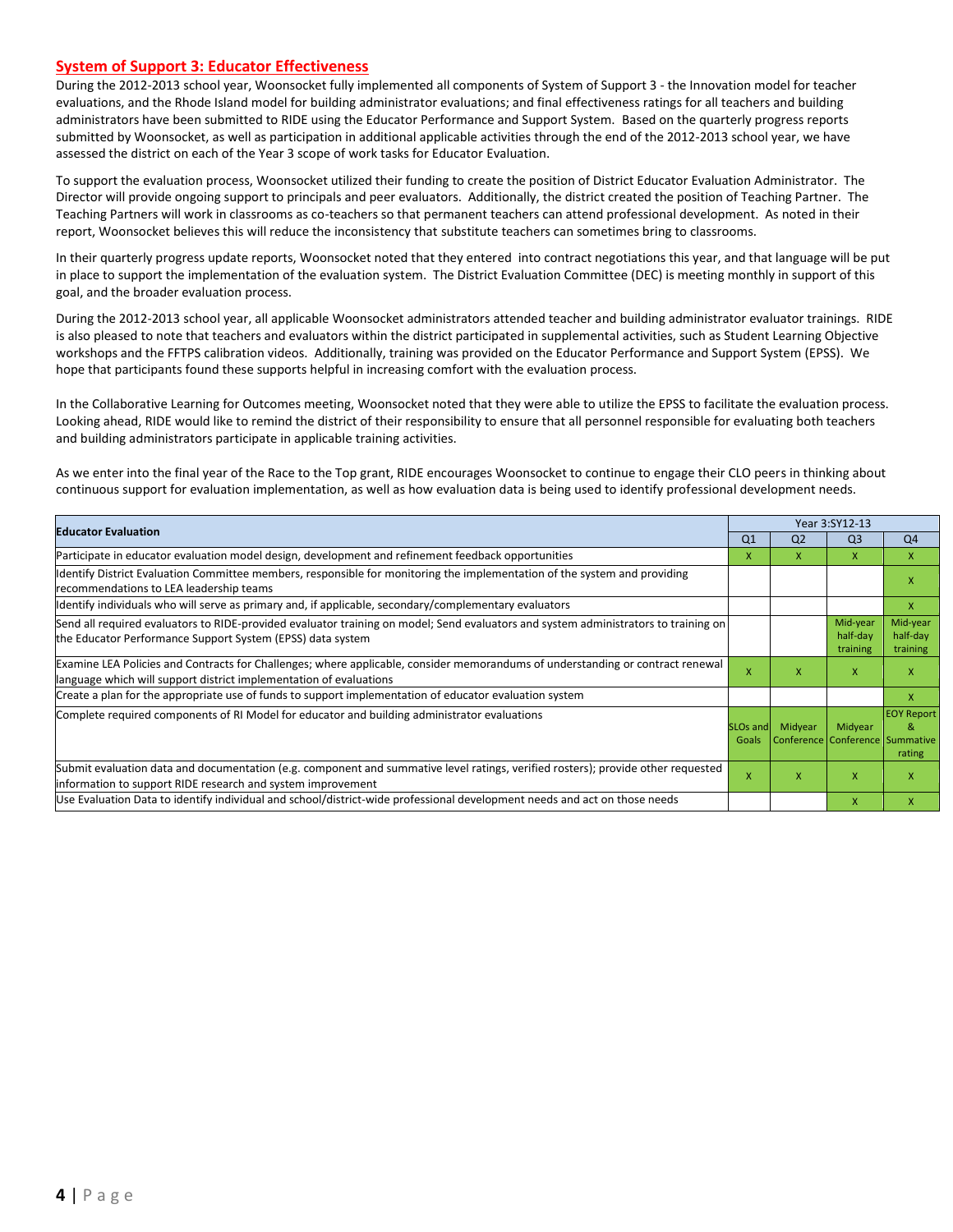#### **System of Support 3: Educator Effectiveness**

During the 2012-2013 school year, Woonsocket fully implemented all components of System of Support 3 - the Innovation model for teacher evaluations, and the Rhode Island model for building administrator evaluations; and final effectiveness ratings for all teachers and building administrators have been submitted to RIDE using the Educator Performance and Support System. Based on the quarterly progress reports submitted by Woonsocket, as well as participation in additional applicable activities through the end of the 2012-2013 school year, we have assessed the district on each of the Year 3 scope of work tasks for Educator Evaluation.

To support the evaluation process, Woonsocket utilized their funding to create the position of District Educator Evaluation Administrator. The Director will provide ongoing support to principals and peer evaluators. Additionally, the district created the position of Teaching Partner. The Teaching Partners will work in classrooms as co-teachers so that permanent teachers can attend professional development. As noted in their report, Woonsocket believes this will reduce the inconsistency that substitute teachers can sometimes bring to classrooms.

In their quarterly progress update reports, Woonsocket noted that they entered into contract negotiations this year, and that language will be put in place to support the implementation of the evaluation system. The District Evaluation Committee (DEC) is meeting monthly in support of this goal, and the broader evaluation process.

During the 2012-2013 school year, all applicable Woonsocket administrators attended teacher and building administrator evaluator trainings. RIDE is also pleased to note that teachers and evaluators within the district participated in supplemental activities, such as Student Learning Objective workshops and the FFTPS calibration videos. Additionally, training was provided on the Educator Performance and Support System (EPSS). We hope that participants found these supports helpful in increasing comfort with the evaluation process.

In the Collaborative Learning for Outcomes meeting, Woonsocket noted that they were able to utilize the EPSS to facilitate the evaluation process. Looking ahead, RIDE would like to remind the district of their responsibility to ensure that all personnel responsible for evaluating both teachers and building administrators participate in applicable training activities.

As we enter into the final year of the Race to the Top grant, RIDE encourages Woonsocket to continue to engage their CLO peers in thinking about continuous support for evaluation implementation, as well as how evaluation data is being used to identify professional development needs.

| <b>Educator Evaluation</b>                                                                                                                                                                           |                | Year 3:SY12-13                                      |                                  |                                  |  |
|------------------------------------------------------------------------------------------------------------------------------------------------------------------------------------------------------|----------------|-----------------------------------------------------|----------------------------------|----------------------------------|--|
|                                                                                                                                                                                                      | Q <sub>1</sub> | Q <sub>2</sub>                                      | Q <sub>3</sub>                   | Q <sub>4</sub>                   |  |
| Participate in educator evaluation model design, development and refinement feedback opportunities                                                                                                   | x              | x                                                   | $\mathsf{x}$                     | X                                |  |
| Identify District Evaluation Committee members, responsible for monitoring the implementation of the system and providing<br>recommendations to LEA leadership teams                                 |                |                                                     |                                  | x                                |  |
| ldentify individuals who will serve as primary and, if applicable, secondary/complementary evaluators                                                                                                |                |                                                     |                                  | $\mathsf{x}$                     |  |
| Send all required evaluators to RIDE-provided evaluator training on model; Send evaluators and system administrators to training on<br>the Educator Performance Support System (EPSS) data system    |                |                                                     | Mid-year<br>half-day<br>training | Mid-year<br>half-day<br>training |  |
| Examine LEA Policies and Contracts for Challenges; where applicable, consider memorandums of understanding or contract renewal<br>language which will support district implementation of evaluations |                | X                                                   | X                                | x                                |  |
| Create a plan for the appropriate use of funds to support implementation of educator evaluation system                                                                                               |                |                                                     |                                  | X                                |  |
| Complete required components of RI Model for educator and building administrator evaluations                                                                                                         |                | SLOs and Midyear<br>Conference Conference Summative | Midyear                          | <b>EOY Report</b><br>ጼ<br>rating |  |
| Submit evaluation data and documentation (e.g. component and summative level ratings, verified rosters); provide other requested<br>information to support RIDE research and system improvement      | $\mathsf{x}$   | X                                                   | $\mathsf{x}$                     | x                                |  |
| Use Evaluation Data to identify individual and school/district-wide professional development needs and act on those needs                                                                            |                |                                                     | X                                | X                                |  |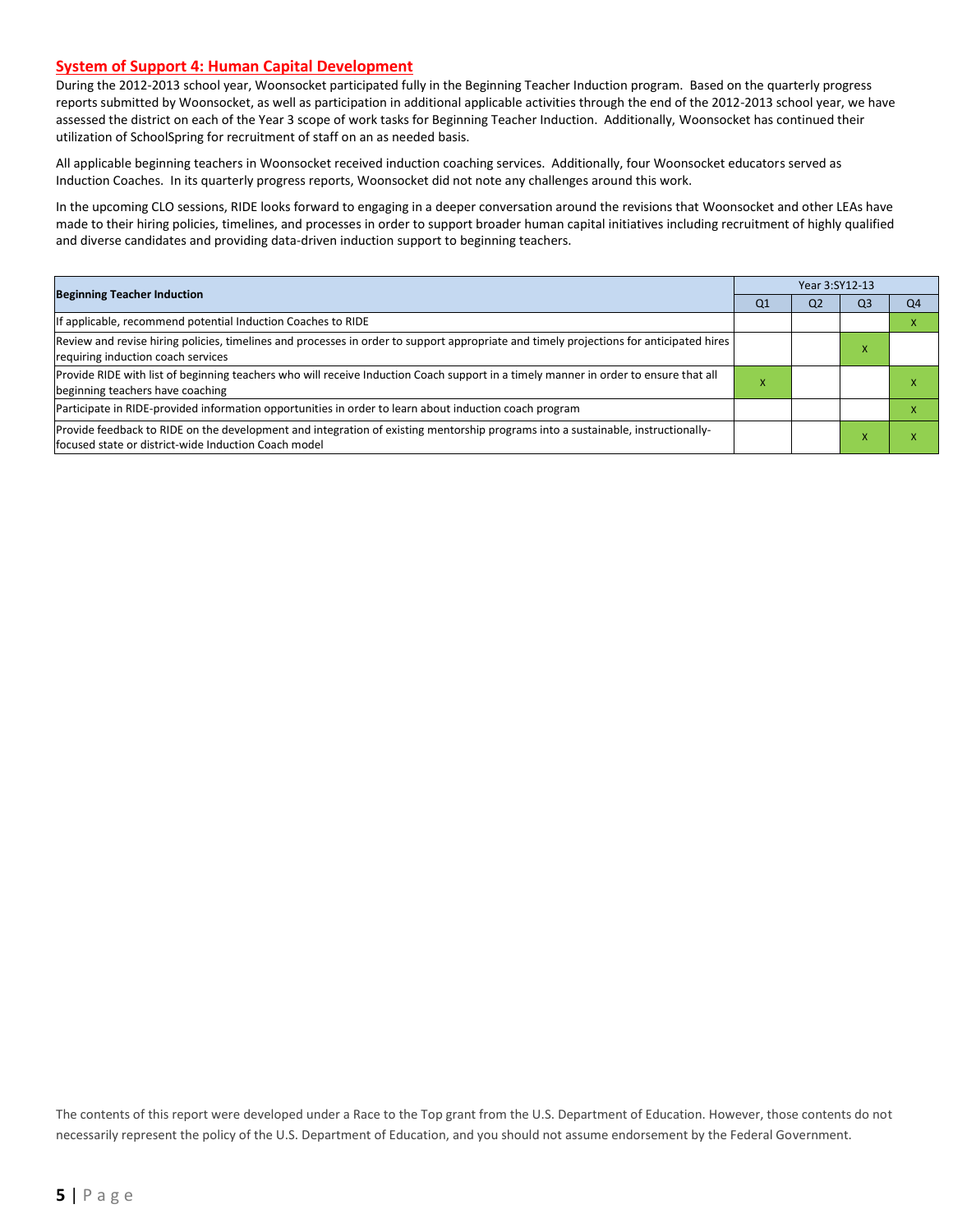#### **System of Support 4: Human Capital Development**

During the 2012-2013 school year, Woonsocket participated fully in the Beginning Teacher Induction program. Based on the quarterly progress reports submitted by Woonsocket, as well as participation in additional applicable activities through the end of the 2012-2013 school year, we have assessed the district on each of the Year 3 scope of work tasks for Beginning Teacher Induction. Additionally, Woonsocket has continued their utilization of SchoolSpring for recruitment of staff on an as needed basis.

All applicable beginning teachers in Woonsocket received induction coaching services. Additionally, four Woonsocket educators served as Induction Coaches. In its quarterly progress reports, Woonsocket did not note any challenges around this work.

In the upcoming CLO sessions, RIDE looks forward to engaging in a deeper conversation around the revisions that Woonsocket and other LEAs have made to their hiring policies, timelines, and processes in order to support broader human capital initiatives including recruitment of highly qualified and diverse candidates and providing data-driven induction support to beginning teachers.

| <b>Beginning Teacher Induction</b>                                                                                                                                                       |   | Year 3:SY12-13 |                |    |  |  |  |
|------------------------------------------------------------------------------------------------------------------------------------------------------------------------------------------|---|----------------|----------------|----|--|--|--|
|                                                                                                                                                                                          |   | Q <sub>2</sub> | Q <sub>3</sub> | Q4 |  |  |  |
| If applicable, recommend potential Induction Coaches to RIDE                                                                                                                             |   |                |                |    |  |  |  |
| Review and revise hiring policies, timelines and processes in order to support appropriate and timely projections for anticipated hires<br>requiring induction coach services            |   |                |                |    |  |  |  |
| Provide RIDE with list of beginning teachers who will receive Induction Coach support in a timely manner in order to ensure that all<br>beginning teachers have coaching                 | ж |                |                |    |  |  |  |
| Participate in RIDE-provided information opportunities in order to learn about induction coach program                                                                                   |   |                |                |    |  |  |  |
| Provide feedback to RIDE on the development and integration of existing mentorship programs into a sustainable, instructionally-<br>focused state or district-wide Induction Coach model |   |                |                |    |  |  |  |

The contents of this report were developed under a Race to the Top grant from the U.S. Department of Education. However, those contents do not necessarily represent the policy of the U.S. Department of Education, and you should not assume endorsement by the Federal Government.